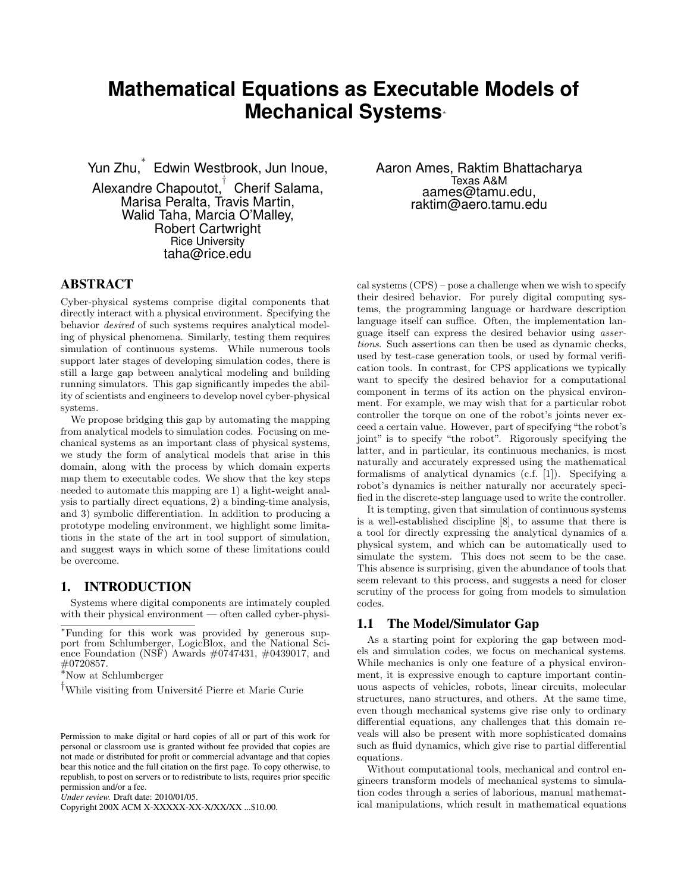# **Mathematical Equations as Executable Models of Mechanical Systems**<sup>∗</sup>

Yun Zhu, ∗ Edwin Westbrook, Jun Inoue,

Alexandre Chapoutot, † Cherif Salama, Marisa Peralta, Travis Martin, Walid Taha, Marcia O'Malley, Robert Cartwright Rice University taha@rice.edu

Aaron Ames, Raktim Bhattacharya Texas A&M aames@tamu.edu, raktim@aero.tamu.edu

# ABSTRACT

Cyber-physical systems comprise digital components that directly interact with a physical environment. Specifying the behavior desired of such systems requires analytical modeling of physical phenomena. Similarly, testing them requires simulation of continuous systems. While numerous tools support later stages of developing simulation codes, there is still a large gap between analytical modeling and building running simulators. This gap significantly impedes the ability of scientists and engineers to develop novel cyber-physical systems.

We propose bridging this gap by automating the mapping from analytical models to simulation codes. Focusing on mechanical systems as an important class of physical systems, we study the form of analytical models that arise in this domain, along with the process by which domain experts map them to executable codes. We show that the key steps needed to automate this mapping are 1) a light-weight analysis to partially direct equations, 2) a binding-time analysis, and 3) symbolic differentiation. In addition to producing a prototype modeling environment, we highlight some limitations in the state of the art in tool support of simulation, and suggest ways in which some of these limitations could be overcome.

## 1. INTRODUCTION

Systems where digital components are intimately coupled with their physical environment — often called cyber-physi-

<sup>∗</sup>Funding for this work was provided by generous support from Schlumberger, LogicBlox, and the National Science Foundation (NSF) Awards  $\#0747431$ ,  $\#0439017$ , and #0720857.

<sup>∗</sup>Now at Schlumberger

<sup>†</sup>While visiting from Université Pierre et Marie Curie

*Under review.* Draft date: 2010/01/05.

Copyright 200X ACM X-XXXXX-XX-X/XX/XX ...\$10.00.

cal systems (CPS) – pose a challenge when we wish to specify their desired behavior. For purely digital computing systems, the programming language or hardware description language itself can suffice. Often, the implementation language itself can express the desired behavior using assertions. Such assertions can then be used as dynamic checks, used by test-case generation tools, or used by formal verification tools. In contrast, for CPS applications we typically want to specify the desired behavior for a computational component in terms of its action on the physical environment. For example, we may wish that for a particular robot controller the torque on one of the robot's joints never exceed a certain value. However, part of specifying "the robot's joint" is to specify "the robot". Rigorously specifying the latter, and in particular, its continuous mechanics, is most naturally and accurately expressed using the mathematical formalisms of analytical dynamics (c.f. [1]). Specifying a robot's dynamics is neither naturally nor accurately specified in the discrete-step language used to write the controller.

It is tempting, given that simulation of continuous systems is a well-established discipline [8], to assume that there is a tool for directly expressing the analytical dynamics of a physical system, and which can be automatically used to simulate the system. This does not seem to be the case. This absence is surprising, given the abundance of tools that seem relevant to this process, and suggests a need for closer scrutiny of the process for going from models to simulation codes.

## 1.1 The Model/Simulator Gap

As a starting point for exploring the gap between models and simulation codes, we focus on mechanical systems. While mechanics is only one feature of a physical environment, it is expressive enough to capture important continuous aspects of vehicles, robots, linear circuits, molecular structures, nano structures, and others. At the same time, even though mechanical systems give rise only to ordinary differential equations, any challenges that this domain reveals will also be present with more sophisticated domains such as fluid dynamics, which give rise to partial differential equations.

Without computational tools, mechanical and control engineers transform models of mechanical systems to simulation codes through a series of laborious, manual mathematical manipulations, which result in mathematical equations

Permission to make digital or hard copies of all or part of this work for personal or classroom use is granted without fee provided that copies are not made or distributed for profit or commercial advantage and that copies bear this notice and the full citation on the first page. To copy otherwise, to republish, to post on servers or to redistribute to lists, requires prior specific permission and/or a fee.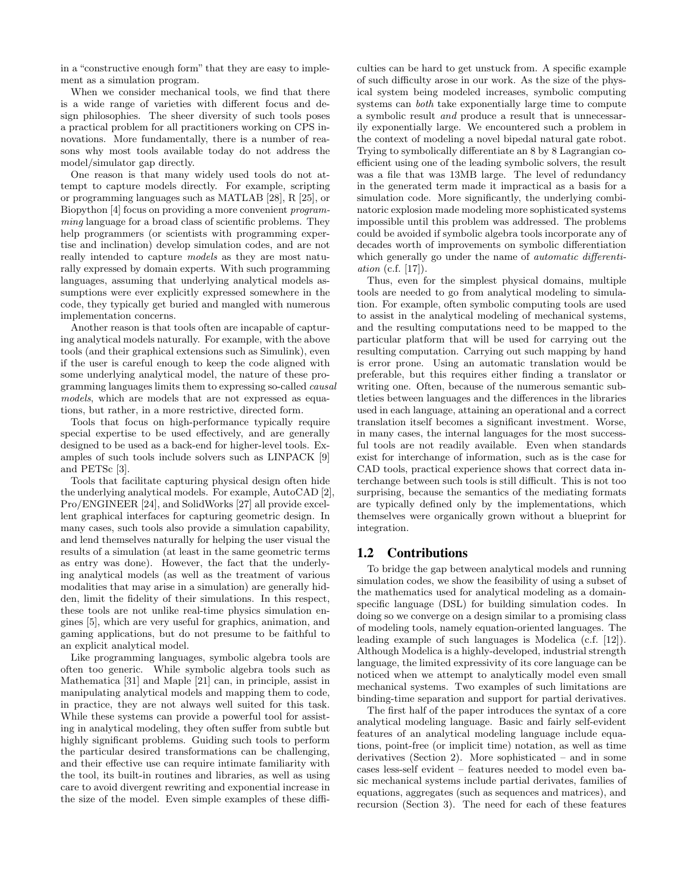in a "constructive enough form" that they are easy to implement as a simulation program.

When we consider mechanical tools, we find that there is a wide range of varieties with different focus and design philosophies. The sheer diversity of such tools poses a practical problem for all practitioners working on CPS innovations. More fundamentally, there is a number of reasons why most tools available today do not address the model/simulator gap directly.

One reason is that many widely used tools do not attempt to capture models directly. For example, scripting or programming languages such as MATLAB [28], R [25], or Biopython [4] focus on providing a more convenient programming language for a broad class of scientific problems. They help programmers (or scientists with programming expertise and inclination) develop simulation codes, and are not really intended to capture models as they are most naturally expressed by domain experts. With such programming languages, assuming that underlying analytical models assumptions were ever explicitly expressed somewhere in the code, they typically get buried and mangled with numerous implementation concerns.

Another reason is that tools often are incapable of capturing analytical models naturally. For example, with the above tools (and their graphical extensions such as Simulink), even if the user is careful enough to keep the code aligned with some underlying analytical model, the nature of these programming languages limits them to expressing so-called causal models, which are models that are not expressed as equations, but rather, in a more restrictive, directed form.

Tools that focus on high-performance typically require special expertise to be used effectively, and are generally designed to be used as a back-end for higher-level tools. Examples of such tools include solvers such as LINPACK [9] and PETSc [3].

Tools that facilitate capturing physical design often hide the underlying analytical models. For example, AutoCAD [2], Pro/ENGINEER [24], and SolidWorks [27] all provide excellent graphical interfaces for capturing geometric design. In many cases, such tools also provide a simulation capability, and lend themselves naturally for helping the user visual the results of a simulation (at least in the same geometric terms as entry was done). However, the fact that the underlying analytical models (as well as the treatment of various modalities that may arise in a simulation) are generally hidden, limit the fidelity of their simulations. In this respect, these tools are not unlike real-time physics simulation engines [5], which are very useful for graphics, animation, and gaming applications, but do not presume to be faithful to an explicit analytical model.

Like programming languages, symbolic algebra tools are often too generic. While symbolic algebra tools such as Mathematica [31] and Maple [21] can, in principle, assist in manipulating analytical models and mapping them to code, in practice, they are not always well suited for this task. While these systems can provide a powerful tool for assisting in analytical modeling, they often suffer from subtle but highly significant problems. Guiding such tools to perform the particular desired transformations can be challenging, and their effective use can require intimate familiarity with the tool, its built-in routines and libraries, as well as using care to avoid divergent rewriting and exponential increase in the size of the model. Even simple examples of these difficulties can be hard to get unstuck from. A specific example of such difficulty arose in our work. As the size of the physical system being modeled increases, symbolic computing systems can both take exponentially large time to compute a symbolic result and produce a result that is unnecessarily exponentially large. We encountered such a problem in the context of modeling a novel bipedal natural gate robot. Trying to symbolically differentiate an 8 by 8 Lagrangian coefficient using one of the leading symbolic solvers, the result was a file that was 13MB large. The level of redundancy in the generated term made it impractical as a basis for a simulation code. More significantly, the underlying combinatoric explosion made modeling more sophisticated systems impossible until this problem was addressed. The problems could be avoided if symbolic algebra tools incorporate any of decades worth of improvements on symbolic differentiation which generally go under the name of *automatic differenti*ation (c.f. [17]).

Thus, even for the simplest physical domains, multiple tools are needed to go from analytical modeling to simulation. For example, often symbolic computing tools are used to assist in the analytical modeling of mechanical systems, and the resulting computations need to be mapped to the particular platform that will be used for carrying out the resulting computation. Carrying out such mapping by hand is error prone. Using an automatic translation would be preferable, but this requires either finding a translator or writing one. Often, because of the numerous semantic subtleties between languages and the differences in the libraries used in each language, attaining an operational and a correct translation itself becomes a significant investment. Worse, in many cases, the internal languages for the most successful tools are not readily available. Even when standards exist for interchange of information, such as is the case for CAD tools, practical experience shows that correct data interchange between such tools is still difficult. This is not too surprising, because the semantics of the mediating formats are typically defined only by the implementations, which themselves were organically grown without a blueprint for integration.

### 1.2 Contributions

To bridge the gap between analytical models and running simulation codes, we show the feasibility of using a subset of the mathematics used for analytical modeling as a domainspecific language (DSL) for building simulation codes. In doing so we converge on a design similar to a promising class of modeling tools, namely equation-oriented languages. The leading example of such languages is Modelica (c.f. [12]). Although Modelica is a highly-developed, industrial strength language, the limited expressivity of its core language can be noticed when we attempt to analytically model even small mechanical systems. Two examples of such limitations are binding-time separation and support for partial derivatives.

The first half of the paper introduces the syntax of a core analytical modeling language. Basic and fairly self-evident features of an analytical modeling language include equations, point-free (or implicit time) notation, as well as time derivatives (Section 2). More sophisticated – and in some cases less-self evident – features needed to model even basic mechanical systems include partial derivates, families of equations, aggregates (such as sequences and matrices), and recursion (Section 3). The need for each of these features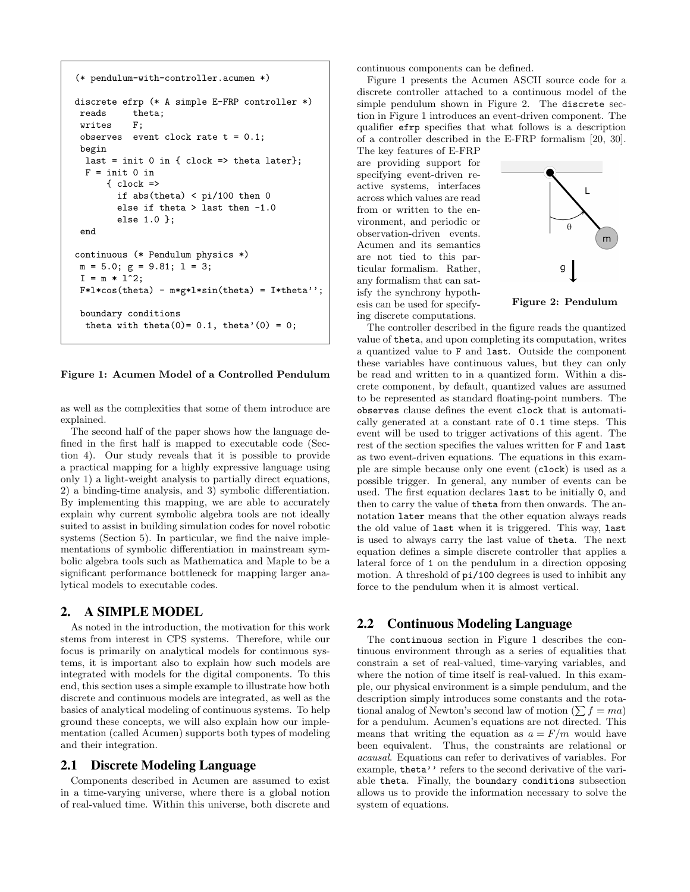```
(* pendulum-with-controller.acumen *)
discrete efrp (* A simple E-FRP controller *)
 reads theta;
 writes F;
 observes event clock rate t = 0.1;
 begin
  last = init 0 in { clock => theta later};
  F = init 0 in{ < \n}if abs(theta) < pi/100 then 0
        else if theta > last then -1.0
        else 1.0 };
 end
continuous (* Pendulum physics *)
m = 5.0; g = 9.81; 1 = 3;
 I = m * 1^2;F*1*cos(theta) - m*g*1*sin(theta) = I*theta';
 boundary conditions
  theta with theta(0)=0.1, theta'(0) = 0;
```
#### Figure 1: Acumen Model of a Controlled Pendulum

as well as the complexities that some of them introduce are explained.

The second half of the paper shows how the language defined in the first half is mapped to executable code (Section 4). Our study reveals that it is possible to provide a practical mapping for a highly expressive language using only 1) a light-weight analysis to partially direct equations, 2) a binding-time analysis, and 3) symbolic differentiation. By implementing this mapping, we are able to accurately explain why current symbolic algebra tools are not ideally suited to assist in building simulation codes for novel robotic systems (Section 5). In particular, we find the naive implementations of symbolic differentiation in mainstream symbolic algebra tools such as Mathematica and Maple to be a significant performance bottleneck for mapping larger analytical models to executable codes.

### 2. A SIMPLE MODEL

As noted in the introduction, the motivation for this work stems from interest in CPS systems. Therefore, while our focus is primarily on analytical models for continuous systems, it is important also to explain how such models are integrated with models for the digital components. To this end, this section uses a simple example to illustrate how both discrete and continuous models are integrated, as well as the basics of analytical modeling of continuous systems. To help ground these concepts, we will also explain how our implementation (called Acumen) supports both types of modeling and their integration.

#### 2.1 Discrete Modeling Language

Components described in Acumen are assumed to exist in a time-varying universe, where there is a global notion of real-valued time. Within this universe, both discrete and

continuous components can be defined.

Figure 1 presents the Acumen ASCII source code for a discrete controller attached to a continuous model of the simple pendulum shown in Figure 2. The discrete section in Figure 1 introduces an event-driven component. The qualifier efrp specifies that what follows is a description of a controller described in the E-FRP formalism [20, 30].

The key features of E-FRP are providing support for specifying event-driven reactive systems, interfaces across which values are read from or written to the environment, and periodic or observation-driven events. Acumen and its semantics are not tied to this particular formalism. Rather, any formalism that can satisfy the synchrony hypothesis can be used for specifying discrete computations.



Figure 2: Pendulum

The controller described in the figure reads the quantized value of theta, and upon completing its computation, writes a quantized value to F and last. Outside the component these variables have continuous values, but they can only be read and written to in a quantized form. Within a discrete component, by default, quantized values are assumed to be represented as standard floating-point numbers. The observes clause defines the event clock that is automatically generated at a constant rate of 0.1 time steps. This event will be used to trigger activations of this agent. The rest of the section specifies the values written for F and last as two event-driven equations. The equations in this example are simple because only one event (clock) is used as a possible trigger. In general, any number of events can be used. The first equation declares last to be initially 0, and then to carry the value of theta from then onwards. The annotation later means that the other equation always reads the old value of last when it is triggered. This way, last is used to always carry the last value of theta. The next equation defines a simple discrete controller that applies a lateral force of 1 on the pendulum in a direction opposing motion. A threshold of pi/100 degrees is used to inhibit any force to the pendulum when it is almost vertical.

### 2.2 Continuous Modeling Language

The continuous section in Figure 1 describes the continuous environment through as a series of equalities that constrain a set of real-valued, time-varying variables, and where the notion of time itself is real-valued. In this example, our physical environment is a simple pendulum, and the description simply introduces some constants and the rotational analog of Newton's second law of motion  $(\sum f = ma)$ for a pendulum. Acumen's equations are not directed. This means that writing the equation as  $a = F/m$  would have been equivalent. Thus, the constraints are relational or acausal. Equations can refer to derivatives of variables. For example, theta'' refers to the second derivative of the variable theta. Finally, the boundary conditions subsection allows us to provide the information necessary to solve the system of equations.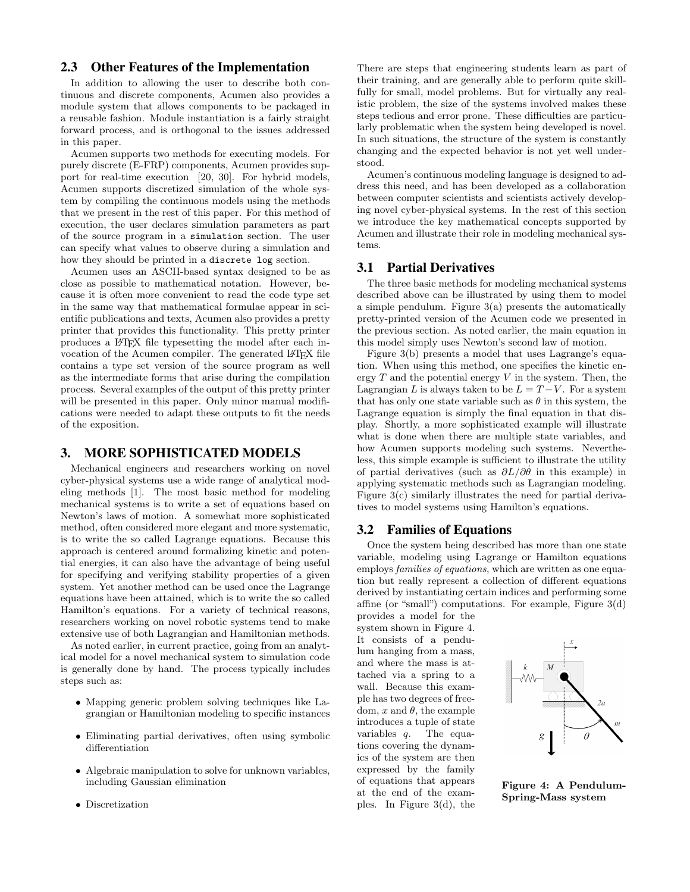## 2.3 Other Features of the Implementation

In addition to allowing the user to describe both continuous and discrete components, Acumen also provides a module system that allows components to be packaged in a reusable fashion. Module instantiation is a fairly straight forward process, and is orthogonal to the issues addressed in this paper.

Acumen supports two methods for executing models. For purely discrete (E-FRP) components, Acumen provides support for real-time execution [20, 30]. For hybrid models, Acumen supports discretized simulation of the whole system by compiling the continuous models using the methods that we present in the rest of this paper. For this method of execution, the user declares simulation parameters as part of the source program in a simulation section. The user can specify what values to observe during a simulation and how they should be printed in a discrete log section.

Acumen uses an ASCII-based syntax designed to be as close as possible to mathematical notation. However, because it is often more convenient to read the code type set in the same way that mathematical formulae appear in scientific publications and texts, Acumen also provides a pretty printer that provides this functionality. This pretty printer produces a LATEX file typesetting the model after each invocation of the Acumen compiler. The generated LATEX file contains a type set version of the source program as well as the intermediate forms that arise during the compilation process. Several examples of the output of this pretty printer will be presented in this paper. Only minor manual modifications were needed to adapt these outputs to fit the needs of the exposition.

## 3. MORE SOPHISTICATED MODELS

Mechanical engineers and researchers working on novel cyber-physical systems use a wide range of analytical modeling methods [1]. The most basic method for modeling mechanical systems is to write a set of equations based on Newton's laws of motion. A somewhat more sophisticated method, often considered more elegant and more systematic, is to write the so called Lagrange equations. Because this approach is centered around formalizing kinetic and potential energies, it can also have the advantage of being useful for specifying and verifying stability properties of a given system. Yet another method can be used once the Lagrange equations have been attained, which is to write the so called Hamilton's equations. For a variety of technical reasons, researchers working on novel robotic systems tend to make extensive use of both Lagrangian and Hamiltonian methods.

As noted earlier, in current practice, going from an analytical model for a novel mechanical system to simulation code is generally done by hand. The process typically includes steps such as:

- Mapping generic problem solving techniques like Lagrangian or Hamiltonian modeling to specific instances
- Eliminating partial derivatives, often using symbolic differentiation
- Algebraic manipulation to solve for unknown variables. including Gaussian elimination
- Discretization

There are steps that engineering students learn as part of their training, and are generally able to perform quite skillfully for small, model problems. But for virtually any realistic problem, the size of the systems involved makes these steps tedious and error prone. These difficulties are particularly problematic when the system being developed is novel. In such situations, the structure of the system is constantly changing and the expected behavior is not yet well understood.

Acumen's continuous modeling language is designed to address this need, and has been developed as a collaboration between computer scientists and scientists actively developing novel cyber-physical systems. In the rest of this section we introduce the key mathematical concepts supported by Acumen and illustrate their role in modeling mechanical systems.

## 3.1 Partial Derivatives

The three basic methods for modeling mechanical systems described above can be illustrated by using them to model a simple pendulum. Figure 3(a) presents the automatically pretty-printed version of the Acumen code we presented in the previous section. As noted earlier, the main equation in this model simply uses Newton's second law of motion.

Figure 3(b) presents a model that uses Lagrange's equation. When using this method, one specifies the kinetic energy  $T$  and the potential energy  $V$  in the system. Then, the Lagrangian L is always taken to be  $L = T - V$ . For a system that has only one state variable such as  $\theta$  in this system, the Lagrange equation is simply the final equation in that display. Shortly, a more sophisticated example will illustrate what is done when there are multiple state variables, and how Acumen supports modeling such systems. Nevertheless, this simple example is sufficient to illustrate the utility of partial derivatives (such as  $\partial L/\partial \theta$  in this example) in applying systematic methods such as Lagrangian modeling. Figure 3(c) similarly illustrates the need for partial derivatives to model systems using Hamilton's equations.

## 3.2 Families of Equations

Once the system being described has more than one state variable, modeling using Lagrange or Hamilton equations employs families of equations, which are written as one equation but really represent a collection of different equations derived by instantiating certain indices and performing some affine (or "small") computations. For example, Figure 3(d) provides a model for the

system shown in Figure 4. It consists of a pendulum hanging from a mass, and where the mass is attached via a spring to a wall. Because this example has two degrees of freedom, x and  $\theta$ , the example introduces a tuple of state variables q. The equations covering the dynamics of the system are then expressed by the family of equations that appears at the end of the examples. In Figure 3(d), the



Figure 4: A Pendulum-Spring-Mass system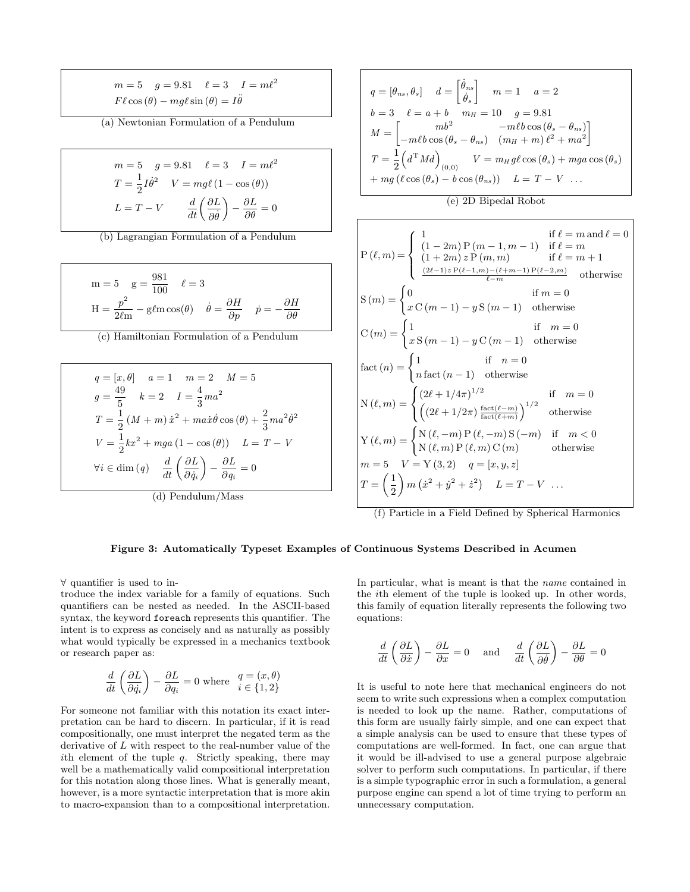$$
m = 5 \quad g = 9.81 \quad \ell = 3 \quad I = m\ell^2
$$

$$
F\ell\cos(\theta) - mg\ell\sin(\theta) = I\ddot{\theta}
$$

(a) Newtonian Formulation of a Pendulum

$$
m = 5 \quad g = 9.81 \quad \ell = 3 \quad I = m\ell^2
$$

$$
T = \frac{1}{2}I\dot{\theta}^2 \quad V = mg\ell (1 - \cos(\theta))
$$

$$
L = T - V \qquad \frac{d}{dt}\left(\frac{\partial L}{\partial \dot{\theta}}\right) - \frac{\partial L}{\partial \theta} = 0
$$

(b) Lagrangian Formulation of a Pendulum

$$
m = 5 \quad g = \frac{981}{100} \quad \ell = 3
$$

$$
H = \frac{p^2}{2\ell m} - g\ell m \cos(\theta) \quad \dot{\theta} = \frac{\partial H}{\partial p} \quad \dot{p} = -\frac{\partial H}{\partial \theta}
$$

(c) Hamiltonian Formulation of a Pendulum

$$
q = [x, \theta] \quad a = 1 \quad m = 2 \quad M = 5
$$
  
\n
$$
g = \frac{49}{5} \quad k = 2 \quad I = \frac{4}{3}ma^2
$$
  
\n
$$
T = \frac{1}{2}(M + m) \dot{x}^2 + ma\dot{x}\dot{\theta}\cos(\theta) + \frac{2}{3}ma^2\dot{\theta}^2
$$
  
\n
$$
V = \frac{1}{2}kx^2 + mga(1 - \cos(\theta)) \quad L = T - V
$$
  
\n
$$
\forall i \in \text{dim}(q) \quad \frac{d}{dt}\left(\frac{\partial L}{\partial \dot{q}_i}\right) - \frac{\partial L}{\partial q_i} = 0
$$

(d) Pendulum/Mass

$$
q = [\theta_{ns}, \theta_s] \quad d = \begin{bmatrix} \dot{\theta}_{ns} \\ \dot{\theta}_s \end{bmatrix} \quad m = 1 \quad a = 2
$$
  
\n
$$
b = 3 \quad \ell = a + b \quad m_H = 10 \quad g = 9.81
$$
  
\n
$$
M = \begin{bmatrix} mb^2 & -m\ell b \cos(\theta_s - \theta_{ns}) \\ -m\ell b \cos(\theta_s - \theta_{ns}) & (m_H + m)\ell^2 + ma^2 \end{bmatrix}
$$
  
\n
$$
T = \frac{1}{2} \left( d^{\mathrm{T}} M d \right)_{(0,0)} \quad V = m_H g \ell \cos(\theta_s) + mg a \cos(\theta_s)
$$
  
\n
$$
+ mg (\ell \cos(\theta_s) - b \cos(\theta_{ns})) \quad L = T - V \quad \dots
$$

(e) 2D Bipedal Robot

$$
\begin{aligned}\nP(\ell,m) &= \begin{cases}\n1 & \text{if } \ell = m \text{ and } \ell = 0 \\
(1+2m) \, z \, P(m,m) & \text{if } \ell = m \\
(1+2m) \, z \, P(m,m) & \text{if } \ell = m+1\n\end{cases} \\
S(m) &= \begin{cases}\n0 & \text{if } m = 0 \\
x \, C(m-1) - y \, S(m-1) & \text{otherwise}\n\end{cases} \\
\text{otherwise} \\
C(m) &= \begin{cases}\n1 & \text{if } m = 0 \\
x \, S(m-1) - y \, C(m-1) & \text{otherwise}\n\end{cases} \\
\text{fact}(n) &= \begin{cases}\n1 & \text{if } n = 0 \\
1 & \text{if } n = 0\n\end{cases} \\
\text{fact}(n) &= \begin{cases}\n1 & \text{if } n = 0 \\
n \, \text{fact}(n-1) & \text{otherwise}\n\end{cases} \\
N(\ell,m) &= \begin{cases}\n(2\ell + 1/4\pi)^{1/2} & \text{if } m = 0 \\
\left((2\ell + 1/2\pi)\frac{\text{fact}(\ell - m)}{\text{fact}(\ell + m)}\right)^{1/2} & \text{otherwise}\n\end{cases} \\
\text{Y}(\ell,m) &= \begin{cases}\nN(\ell, -m) \, P(\ell, -m) \, S(-m) & \text{if } m < 0 \\
N(\ell, m) \, P(\ell, m) \, C(m) & \text{otherwise}\n\end{cases} \\
m = 5 \quad V = Y(3, 2) \quad q = [x, y, z] \\
T = \begin{pmatrix} 1 \\
2 \end{pmatrix} m \left(x^2 + y^2 + z^2\right) & L = T - V \quad \text{...} \\
\text{(f) Particle in a Field Defined by Spherical Harmonics}\n\end{aligned}
$$

#### Figure 3: Automatically Typeset Examples of Continuous Systems Described in Acumen

∀ quantifier is used to in-

troduce the index variable for a family of equations. Such quantifiers can be nested as needed. In the ASCII-based syntax, the keyword foreach represents this quantifier. The intent is to express as concisely and as naturally as possibly what would typically be expressed in a mechanics textbook or research paper as:

$$
\frac{d}{dt}\left(\frac{\partial L}{\partial \dot{q}_i}\right) - \frac{\partial L}{\partial q_i} = 0
$$
 where  $q = (x, \theta)$   
 $i \in \{1, 2\}$ 

For someone not familiar with this notation its exact interpretation can be hard to discern. In particular, if it is read compositionally, one must interpret the negated term as the derivative of L with respect to the real-number value of the ith element of the tuple  $q$ . Strictly speaking, there may well be a mathematically valid compositional interpretation for this notation along those lines. What is generally meant, however, is a more syntactic interpretation that is more akin to macro-expansion than to a compositional interpretation.

In particular, what is meant is that the name contained in the ith element of the tuple is looked up. In other words, this family of equation literally represents the following two equations:

$$
\frac{d}{dt}\left(\frac{\partial L}{\partial \dot{x}}\right) - \frac{\partial L}{\partial x} = 0 \quad \text{and} \quad \frac{d}{dt}\left(\frac{\partial L}{\partial \dot{\theta}}\right) - \frac{\partial L}{\partial \theta} = 0
$$

It is useful to note here that mechanical engineers do not seem to write such expressions when a complex computation is needed to look up the name. Rather, computations of this form are usually fairly simple, and one can expect that a simple analysis can be used to ensure that these types of computations are well-formed. In fact, one can argue that it would be ill-advised to use a general purpose algebraic solver to perform such computations. In particular, if there is a simple typographic error in such a formulation, a general purpose engine can spend a lot of time trying to perform an unnecessary computation.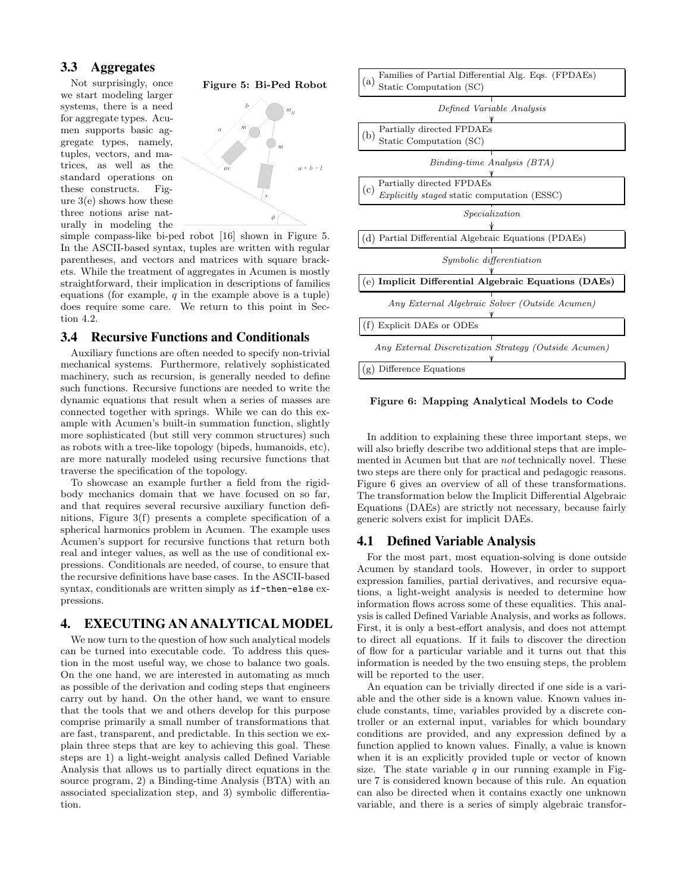## 3.3 Aggregates

we start modeling larger systems, there is a need for aggregate types. Acumen supports basic aggregate types, namely, tuples, vectors, and matrices, as well as the standard operations on these constructs. Figure 3(e) shows how these three notions arise naturally in modeling the



simple compass-like bi-ped robot [16] shown in Figure 5. In the ASCII-based syntax, tuples are written with regular parentheses, and vectors and matrices with square brackets. While the treatment of aggregates in Acumen is mostly straightforward, their implication in descriptions of families equations (for example,  $q$  in the example above is a tuple) does require some care. We return to this point in Section 4.2.

#### 3.4 Recursive Functions and Conditionals

Auxiliary functions are often needed to specify non-trivial mechanical systems. Furthermore, relatively sophisticated machinery, such as recursion, is generally needed to define such functions. Recursive functions are needed to write the dynamic equations that result when a series of masses are connected together with springs. While we can do this example with Acumen's built-in summation function, slightly more sophisticated (but still very common structures) such as robots with a tree-like topology (bipeds, humanoids, etc), are more naturally modeled using recursive functions that traverse the specification of the topology.

To showcase an example further a field from the rigidbody mechanics domain that we have focused on so far, and that requires several recursive auxiliary function definitions, Figure 3(f) presents a complete specification of a spherical harmonics problem in Acumen. The example uses Acumen's support for recursive functions that return both real and integer values, as well as the use of conditional expressions. Conditionals are needed, of course, to ensure that the recursive definitions have base cases. In the ASCII-based syntax, conditionals are written simply as if-then-else expressions.

## 4. EXECUTING AN ANALYTICAL MODEL

We now turn to the question of how such analytical models can be turned into executable code. To address this question in the most useful way, we chose to balance two goals. On the one hand, we are interested in automating as much as possible of the derivation and coding steps that engineers carry out by hand. On the other hand, we want to ensure that the tools that we and others develop for this purpose comprise primarily a small number of transformations that are fast, transparent, and predictable. In this section we explain three steps that are key to achieving this goal. These steps are 1) a light-weight analysis called Defined Variable Analysis that allows us to partially direct equations in the source program, 2) a Binding-time Analysis (BTA) with an associated specialization step, and 3) symbolic differentiation.



Figure 6: Mapping Analytical Models to Code

In addition to explaining these three important steps, we will also briefly describe two additional steps that are implemented in Acumen but that are not technically novel. These two steps are there only for practical and pedagogic reasons. Figure 6 gives an overview of all of these transformations. The transformation below the Implicit Differential Algebraic Equations (DAEs) are strictly not necessary, because fairly generic solvers exist for implicit DAEs.

## 4.1 Defined Variable Analysis

For the most part, most equation-solving is done outside Acumen by standard tools. However, in order to support expression families, partial derivatives, and recursive equations, a light-weight analysis is needed to determine how information flows across some of these equalities. This analysis is called Defined Variable Analysis, and works as follows. First, it is only a best-effort analysis, and does not attempt to direct all equations. If it fails to discover the direction of flow for a particular variable and it turns out that this information is needed by the two ensuing steps, the problem will be reported to the user.

An equation can be trivially directed if one side is a variable and the other side is a known value. Known values include constants, time, variables provided by a discrete controller or an external input, variables for which boundary conditions are provided, and any expression defined by a function applied to known values. Finally, a value is known when it is an explicitly provided tuple or vector of known size. The state variable  $q$  in our running example in Figure 7 is considered known because of this rule. An equation can also be directed when it contains exactly one unknown variable, and there is a series of simply algebraic transfor-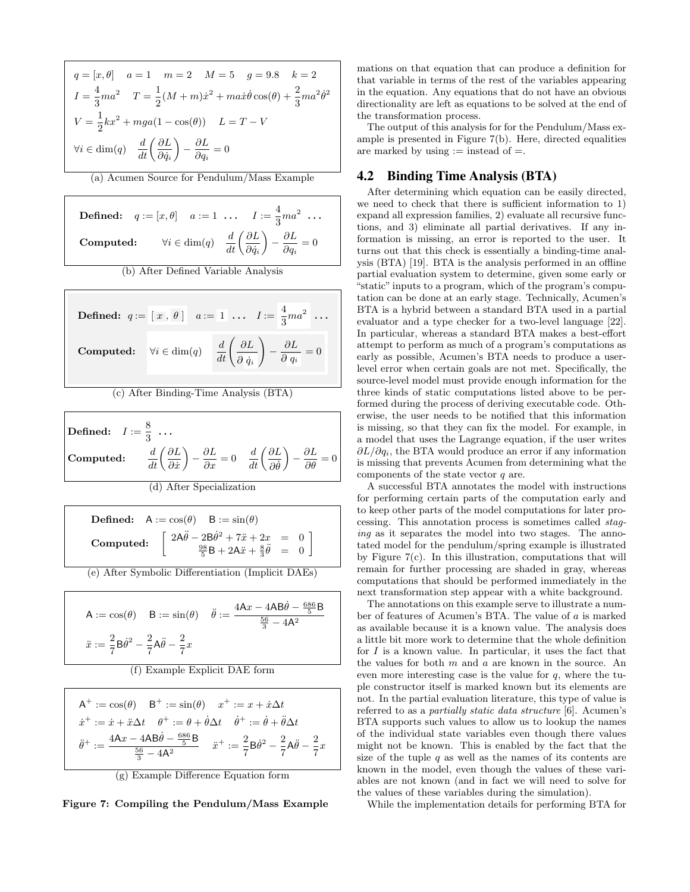$$
q = [x, \theta] \quad a = 1 \quad m = 2 \quad M = 5 \quad g = 9.8 \quad k = 2
$$
  
\n
$$
I = \frac{4}{3}ma^2 \quad T = \frac{1}{2}(M+m)\dot{x}^2 + ma\dot{x}\dot{\theta}\cos(\theta) + \frac{2}{3}ma^2\dot{\theta}^2
$$
  
\n
$$
V = \frac{1}{2}kx^2 + mga(1 - \cos(\theta)) \quad L = T - V
$$
  
\n
$$
\forall i \in \text{dim}(q) \quad \frac{d}{dt}\left(\frac{\partial L}{\partial \dot{q}_i}\right) - \frac{\partial L}{\partial q_i} = 0
$$

(a) Acumen Source for Pendulum/Mass Example

**Defined:**  $q := [x, \theta]$   $a := 1$  ...  $I := \frac{4}{3}$  $rac{4}{3}$ ma<sup>2</sup> ... **Computed:**  $\forall i \in \text{dim}(q)$   $\frac{d}{dt} \left( \frac{\partial L}{\partial \dot{q}_i} \right)$  $\partial \dot{q}_i$  $-\frac{\partial L}{\partial x}$  $\frac{\partial E}{\partial q_i} = 0$ (b) After Defined Variable Analysis

Defined:  $q := \lfloor x \rfloor, \theta \rfloor$   $a := \lfloor 1 \rfloor, \ldots, I := \frac{4}{2}$  $rac{4}{3}$ ma<sup>2</sup> ... **Computed:**  $\forall i \in \text{dim}(q)$   $\frac{d}{dt} \left( \frac{\partial L}{\partial \dot{q}_i} \right)$  $\partial~\dot{q}_i$  $\setminus$  $-\frac{\partial L}{\partial x}$  $\frac{\partial E}{\partial q_i} = 0$ 

(c) After Binding-Time Analysis (BTA)

Defined:  $I := \frac{8}{5}$  $\frac{3}{3}$  ... Computed:  $\frac{d}{dt}\bigg(\frac{\partial L}{\partial \dot{x}}$  $\partial \dot{x}$  $\left ( \begin{array}{cc} \partial L \ \partial x \end{array} \right ) - \frac{\partial L}{\partial x} = 0 \quad \ \frac{d}{dt} \left ( \frac{\partial L}{\partial \dot{\theta}} \right )$  $\partial \dot{\theta}$  $\bigg) - \frac{\partial L}{\partial \theta} = 0$ 

**Defined:**  $A := cos(\theta)$   $B := sin(\theta)$ Computed:  $2A\ddot{\theta} - 2B\dot{\theta}^2 + 7\ddot{x} + 2x = 0$ <br>  $\frac{98}{5}B + 2A\ddot{x} + \frac{8}{3}\ddot{\theta} = 0$ 

(e) After Symbolic Differentiation (Implicit DAEs)

A := 
$$
\cos(\theta)
$$
 B :=  $\sin(\theta)$   $\ddot{\theta}$  :=  $\frac{4Ax - 4AB\dot{\theta} - \frac{686}{5}B}{\frac{56}{3} - 4A^2}$   
 $\ddot{x}$  :=  $\frac{2}{7}B\dot{\theta}^2 - \frac{2}{7}A\ddot{\theta} - \frac{2}{7}x$ 

(f) Example Explicit DAE form

 $A^+ := \cos(\theta)$   $B^+ := \sin(\theta)$   $x^+ := x + \dot{x} \Delta t$  $\dot{x}^+ := \dot{x} + \ddot{x} \Delta t \quad \theta^+ := \theta + \dot{\theta} \Delta t \quad \dot{\theta}^+ := \dot{\theta} + \ddot{\theta} \Delta t$  $\ddot{\theta}^+ := \frac{4Ax - 4AB\dot{\theta} - \frac{686}{5}B}{\frac{56}{3} - 4A^2} \quad \ddot{x}^+ := \frac{2}{7}$  $\frac{2}{7}$ B $\dot{\theta}^2 - \frac{2}{7}$  $rac{2}{7}$ A $\ddot{\theta} - \frac{2}{7}$  $\frac{2}{7}x$ 



Figure 7: Compiling the Pendulum/Mass Example

mations on that equation that can produce a definition for that variable in terms of the rest of the variables appearing in the equation. Any equations that do not have an obvious directionality are left as equations to be solved at the end of the transformation process.

The output of this analysis for for the Pendulum/Mass example is presented in Figure 7(b). Here, directed equalities are marked by using  $:=$  instead of  $=$ .

## 4.2 Binding Time Analysis (BTA)

After determining which equation can be easily directed, we need to check that there is sufficient information to 1) expand all expression families, 2) evaluate all recursive functions, and 3) eliminate all partial derivatives. If any information is missing, an error is reported to the user. It turns out that this check is essentially a binding-time analysis (BTA) [19]. BTA is the analysis performed in an offline partial evaluation system to determine, given some early or "static" inputs to a program, which of the program's computation can be done at an early stage. Technically, Acumen's BTA is a hybrid between a standard BTA used in a partial evaluator and a type checker for a two-level language [22]. In particular, whereas a standard BTA makes a best-effort attempt to perform as much of a program's computations as early as possible, Acumen's BTA needs to produce a userlevel error when certain goals are not met. Specifically, the source-level model must provide enough information for the three kinds of static computations listed above to be performed during the process of deriving executable code. Otherwise, the user needs to be notified that this information is missing, so that they can fix the model. For example, in a model that uses the Lagrange equation, if the user writes  $\partial L/\partial q_i$ , the BTA would produce an error if any information is missing that prevents Acumen from determining what the components of the state vector  $q$  are.

A successful BTA annotates the model with instructions for performing certain parts of the computation early and to keep other parts of the model computations for later processing. This annotation process is sometimes called staging as it separates the model into two stages. The annotated model for the pendulum/spring example is illustrated by Figure 7(c). In this illustration, computations that will remain for further processing are shaded in gray, whereas computations that should be performed immediately in the next transformation step appear with a white background.

The annotations on this example serve to illustrate a number of features of Acumen's BTA. The value of a is marked as available because it is a known value. The analysis does a little bit more work to determine that the whole definition for  $I$  is a known value. In particular, it uses the fact that the values for both m and a are known in the source. An even more interesting case is the value for  $q$ , where the tuple constructor itself is marked known but its elements are not. In the partial evaluation literature, this type of value is referred to as a partially static data structure [6]. Acumen's BTA supports such values to allow us to lookup the names of the individual state variables even though there values might not be known. This is enabled by the fact that the size of the tuple  $q$  as well as the names of its contents are known in the model, even though the values of these variables are not known (and in fact we will need to solve for the values of these variables during the simulation).

While the implementation details for performing BTA for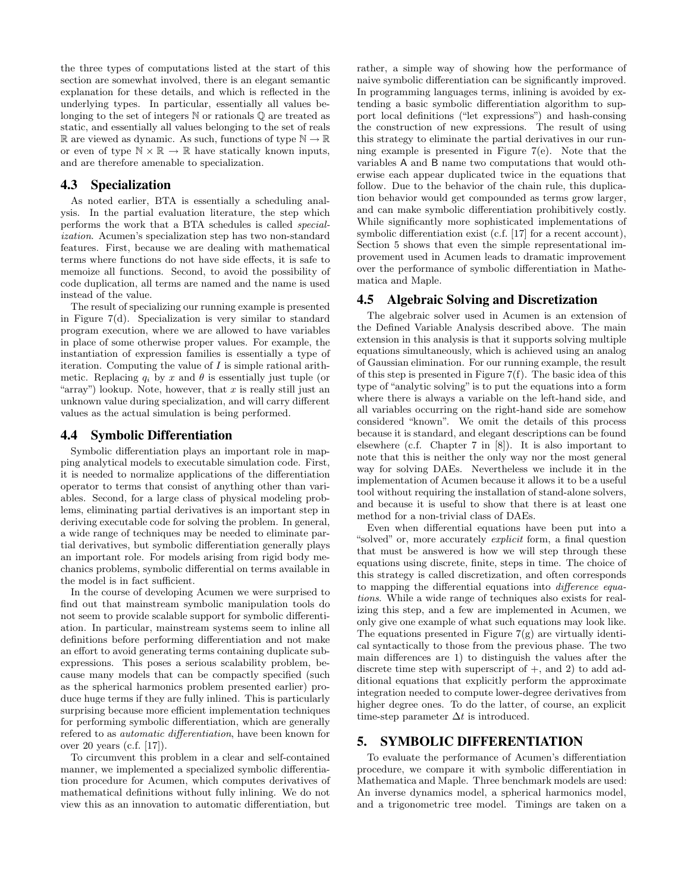the three types of computations listed at the start of this section are somewhat involved, there is an elegant semantic explanation for these details, and which is reflected in the underlying types. In particular, essentially all values belonging to the set of integers N or rationals Q are treated as static, and essentially all values belonging to the set of reals R are viewed as dynamic. As such, functions of type  $\mathbb{N} \to \mathbb{R}$ or even of type  $\mathbb{N} \times \mathbb{R} \to \mathbb{R}$  have statically known inputs, and are therefore amenable to specialization.

### 4.3 Specialization

As noted earlier, BTA is essentially a scheduling analysis. In the partial evaluation literature, the step which performs the work that a BTA schedules is called specialization. Acumen's specialization step has two non-standard features. First, because we are dealing with mathematical terms where functions do not have side effects, it is safe to memoize all functions. Second, to avoid the possibility of code duplication, all terms are named and the name is used instead of the value.

The result of specializing our running example is presented in Figure 7(d). Specialization is very similar to standard program execution, where we are allowed to have variables in place of some otherwise proper values. For example, the instantiation of expression families is essentially a type of iteration. Computing the value of  $I$  is simple rational arithmetic. Replacing  $q_i$  by x and  $\theta$  is essentially just tuple (or "array") lookup. Note, however, that  $x$  is really still just an unknown value during specialization, and will carry different values as the actual simulation is being performed.

#### 4.4 Symbolic Differentiation

Symbolic differentiation plays an important role in mapping analytical models to executable simulation code. First, it is needed to normalize applications of the differentiation operator to terms that consist of anything other than variables. Second, for a large class of physical modeling problems, eliminating partial derivatives is an important step in deriving executable code for solving the problem. In general, a wide range of techniques may be needed to eliminate partial derivatives, but symbolic differentiation generally plays an important role. For models arising from rigid body mechanics problems, symbolic differential on terms available in the model is in fact sufficient.

In the course of developing Acumen we were surprised to find out that mainstream symbolic manipulation tools do not seem to provide scalable support for symbolic differentiation. In particular, mainstream systems seem to inline all definitions before performing differentiation and not make an effort to avoid generating terms containing duplicate subexpressions. This poses a serious scalability problem, because many models that can be compactly specified (such as the spherical harmonics problem presented earlier) produce huge terms if they are fully inlined. This is particularly surprising because more efficient implementation techniques for performing symbolic differentiation, which are generally refered to as automatic differentiation, have been known for over 20 years (c.f. [17]).

To circumvent this problem in a clear and self-contained manner, we implemented a specialized symbolic differentiation procedure for Acumen, which computes derivatives of mathematical definitions without fully inlining. We do not view this as an innovation to automatic differentiation, but

rather, a simple way of showing how the performance of naive symbolic differentiation can be significantly improved. In programming languages terms, inlining is avoided by extending a basic symbolic differentiation algorithm to support local definitions ("let expressions") and hash-consing the construction of new expressions. The result of using this strategy to eliminate the partial derivatives in our running example is presented in Figure 7(e). Note that the variables A and B name two computations that would otherwise each appear duplicated twice in the equations that follow. Due to the behavior of the chain rule, this duplication behavior would get compounded as terms grow larger, and can make symbolic differentiation prohibitively costly. While significantly more sophisticated implementations of symbolic differentiation exist (c.f. [17] for a recent account), Section 5 shows that even the simple representational improvement used in Acumen leads to dramatic improvement over the performance of symbolic differentiation in Mathematica and Maple.

## 4.5 Algebraic Solving and Discretization

The algebraic solver used in Acumen is an extension of the Defined Variable Analysis described above. The main extension in this analysis is that it supports solving multiple equations simultaneously, which is achieved using an analog of Gaussian elimination. For our running example, the result of this step is presented in Figure 7(f). The basic idea of this type of "analytic solving" is to put the equations into a form where there is always a variable on the left-hand side, and all variables occurring on the right-hand side are somehow considered "known". We omit the details of this process because it is standard, and elegant descriptions can be found elsewhere (c.f. Chapter 7 in [8]). It is also important to note that this is neither the only way nor the most general way for solving DAEs. Nevertheless we include it in the implementation of Acumen because it allows it to be a useful tool without requiring the installation of stand-alone solvers, and because it is useful to show that there is at least one method for a non-trivial class of DAEs.

Even when differential equations have been put into a "solved" or, more accurately explicit form, a final question that must be answered is how we will step through these equations using discrete, finite, steps in time. The choice of this strategy is called discretization, and often corresponds to mapping the differential equations into difference equations. While a wide range of techniques also exists for realizing this step, and a few are implemented in Acumen, we only give one example of what such equations may look like. The equations presented in Figure  $7(g)$  are virtually identical syntactically to those from the previous phase. The two main differences are 1) to distinguish the values after the discrete time step with superscript of  $+$ , and 2) to add additional equations that explicitly perform the approximate integration needed to compute lower-degree derivatives from higher degree ones. To do the latter, of course, an explicit time-step parameter  $\Delta t$  is introduced.

## 5. SYMBOLIC DIFFERENTIATION

To evaluate the performance of Acumen's differentiation procedure, we compare it with symbolic differentiation in Mathematica and Maple. Three benchmark models are used: An inverse dynamics model, a spherical harmonics model, and a trigonometric tree model. Timings are taken on a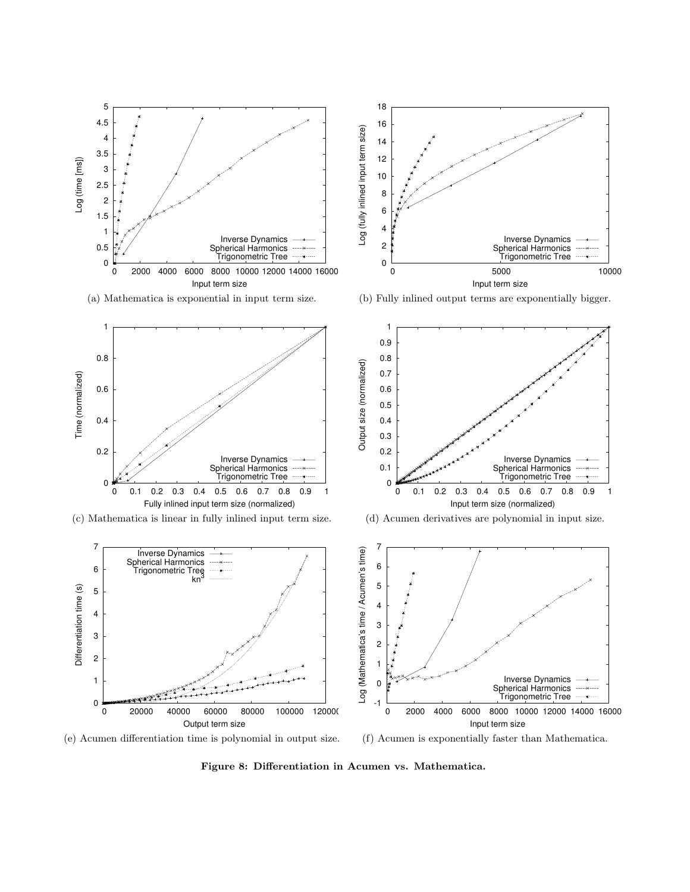

Figure 8: Differentiation in Acumen vs. Mathematica.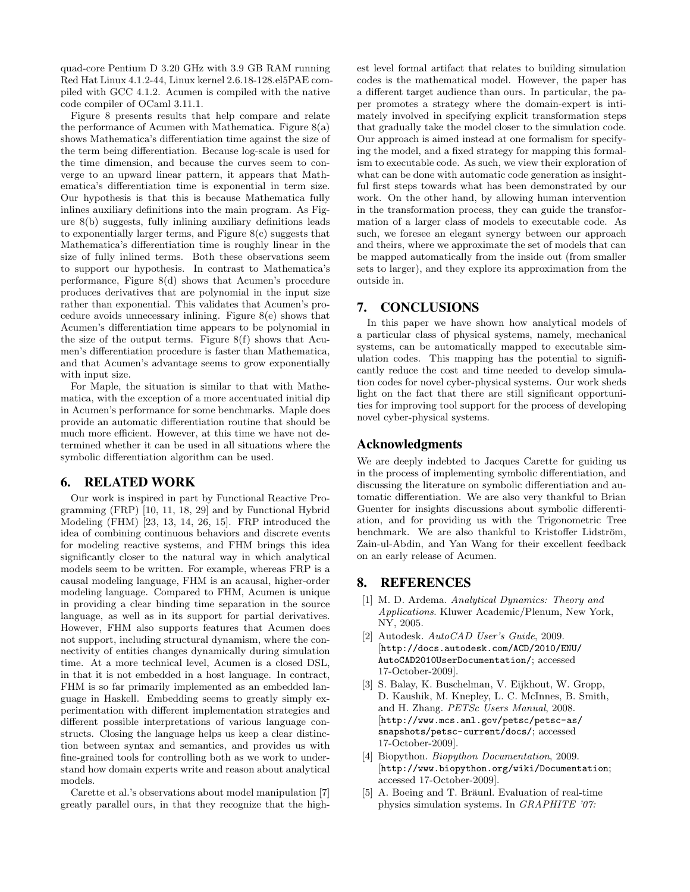quad-core Pentium D 3.20 GHz with 3.9 GB RAM running Red Hat Linux 4.1.2-44, Linux kernel 2.6.18-128.el5PAE compiled with GCC 4.1.2. Acumen is compiled with the native code compiler of OCaml 3.11.1.

Figure 8 presents results that help compare and relate the performance of Acumen with Mathematica. Figure 8(a) shows Mathematica's differentiation time against the size of the term being differentiation. Because log-scale is used for the time dimension, and because the curves seem to converge to an upward linear pattern, it appears that Mathematica's differentiation time is exponential in term size. Our hypothesis is that this is because Mathematica fully inlines auxiliary definitions into the main program. As Figure 8(b) suggests, fully inlining auxiliary definitions leads to exponentially larger terms, and Figure 8(c) suggests that Mathematica's differentiation time is roughly linear in the size of fully inlined terms. Both these observations seem to support our hypothesis. In contrast to Mathematica's performance, Figure 8(d) shows that Acumen's procedure produces derivatives that are polynomial in the input size rather than exponential. This validates that Acumen's procedure avoids unnecessary inlining. Figure 8(e) shows that Acumen's differentiation time appears to be polynomial in the size of the output terms. Figure  $8(f)$  shows that Acumen's differentiation procedure is faster than Mathematica, and that Acumen's advantage seems to grow exponentially with input size.

For Maple, the situation is similar to that with Mathematica, with the exception of a more accentuated initial dip in Acumen's performance for some benchmarks. Maple does provide an automatic differentiation routine that should be much more efficient. However, at this time we have not determined whether it can be used in all situations where the symbolic differentiation algorithm can be used.

## 6. RELATED WORK

Our work is inspired in part by Functional Reactive Programming (FRP) [10, 11, 18, 29] and by Functional Hybrid Modeling (FHM) [23, 13, 14, 26, 15]. FRP introduced the idea of combining continuous behaviors and discrete events for modeling reactive systems, and FHM brings this idea significantly closer to the natural way in which analytical models seem to be written. For example, whereas FRP is a causal modeling language, FHM is an acausal, higher-order modeling language. Compared to FHM, Acumen is unique in providing a clear binding time separation in the source language, as well as in its support for partial derivatives. However, FHM also supports features that Acumen does not support, including structural dynamism, where the connectivity of entities changes dynamically during simulation time. At a more technical level, Acumen is a closed DSL, in that it is not embedded in a host language. In contract, FHM is so far primarily implemented as an embedded language in Haskell. Embedding seems to greatly simply experimentation with different implementation strategies and different possible interpretations of various language constructs. Closing the language helps us keep a clear distinction between syntax and semantics, and provides us with fine-grained tools for controlling both as we work to understand how domain experts write and reason about analytical models.

Carette et al.'s observations about model manipulation [7] greatly parallel ours, in that they recognize that the highest level formal artifact that relates to building simulation codes is the mathematical model. However, the paper has a different target audience than ours. In particular, the paper promotes a strategy where the domain-expert is intimately involved in specifying explicit transformation steps that gradually take the model closer to the simulation code. Our approach is aimed instead at one formalism for specifying the model, and a fixed strategy for mapping this formalism to executable code. As such, we view their exploration of what can be done with automatic code generation as insightful first steps towards what has been demonstrated by our work. On the other hand, by allowing human intervention in the transformation process, they can guide the transformation of a larger class of models to executable code. As such, we foresee an elegant synergy between our approach and theirs, where we approximate the set of models that can be mapped automatically from the inside out (from smaller sets to larger), and they explore its approximation from the outside in.

## 7. CONCLUSIONS

In this paper we have shown how analytical models of a particular class of physical systems, namely, mechanical systems, can be automatically mapped to executable simulation codes. This mapping has the potential to significantly reduce the cost and time needed to develop simulation codes for novel cyber-physical systems. Our work sheds light on the fact that there are still significant opportunities for improving tool support for the process of developing novel cyber-physical systems.

### Acknowledgments

We are deeply indebted to Jacques Carette for guiding us in the process of implementing symbolic differentiation, and discussing the literature on symbolic differentiation and automatic differentiation. We are also very thankful to Brian Guenter for insights discussions about symbolic differentiation, and for providing us with the Trigonometric Tree benchmark. We are also thankful to Kristoffer Lidström, Zain-ul-Abdin, and Yan Wang for their excellent feedback on an early release of Acumen.

## 8. REFERENCES

- [1] M. D. Ardema. Analytical Dynamics: Theory and Applications. Kluwer Academic/Plenum, New York, NY, 2005.
- [2] Autodesk. AutoCAD User's Guide, 2009. [http://docs.autodesk.com/ACD/2010/ENU/ AutoCAD2010UserDocumentation/; accessed 17-October-2009].
- [3] S. Balay, K. Buschelman, V. Eijkhout, W. Gropp, D. Kaushik, M. Knepley, L. C. McInnes, B. Smith, and H. Zhang. PETSc Users Manual, 2008. [http://www.mcs.anl.gov/petsc/petsc-as/ snapshots/petsc-current/docs/; accessed 17-October-2009].
- [4] Biopython. *Biopython Documentation*, 2009. [http://www.biopython.org/wiki/Documentation; accessed 17-October-2009].
- [5] A. Boeing and T. Bräunl. Evaluation of real-time physics simulation systems. In GRAPHITE '07: